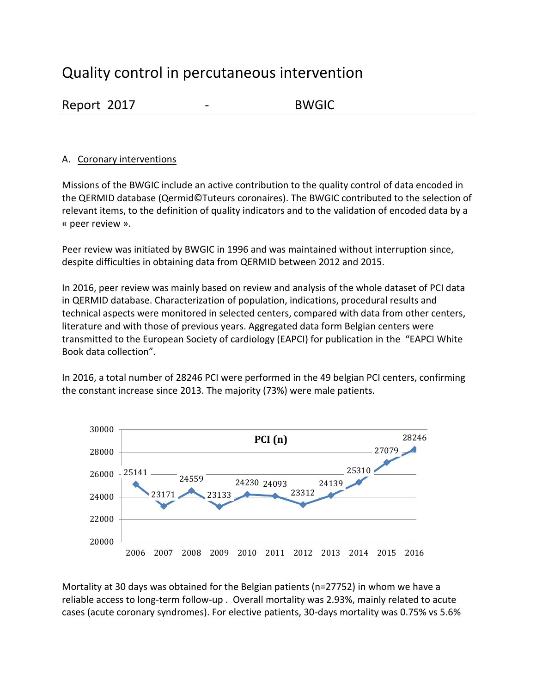# Quality control in percutaneous intervention

| Report 2017 |  | <b>BWGIC</b> |
|-------------|--|--------------|
|             |  |              |

### A. Coronary interventions

Missions of the BWGIC include an active contribution to the quality control of data encoded in the QERMID database (Qermid©Tuteurs coronaires). The BWGIC contributed to the selection of relevant items, to the definition of quality indicators and to the validation of encoded data by a « peer review ».

Peer review was initiated by BWGIC in 1996 and was maintained without interruption since, despite difficulties in obtaining data from QERMID between 2012 and 2015.

In 2016, peer review was mainly based on review and analysis of the whole dataset of PCI data in QERMID database. Characterization of population, indications, procedural results and technical aspects were monitored in selected centers, compared with data from other centers, literature and with those of previous years. Aggregated data form Belgian centers were transmitted to the European Society of cardiology (EAPCI) for publication in the "EAPCI White Book data collection".

In 2016, a total number of 28246 PCI were performed in the 49 belgian PCI centers, confirming the constant increase since 2013. The majority (73%) were male patients.



Mortality at 30 days was obtained for the Belgian patients (n=27752) in whom we have a reliable access to long-term follow-up . Overall mortality was 2.93%, mainly related to acute cases (acute coronary syndromes). For elective patients, 30-days mortality was 0.75% vs 5.6%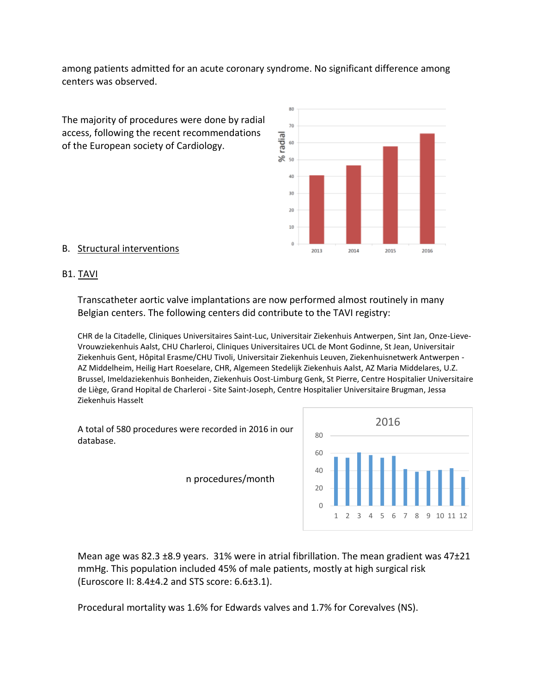among patients admitted for an acute coronary syndrome. No significant difference among centers was observed.



#### B. Structural interventions

#### B1. TAVI

Transcatheter aortic valve implantations are now performed almost routinely in many Belgian centers. The following centers did contribute to the TAVI registry:

CHR de la Citadelle, Cliniques Universitaires Saint-Luc, Universitair Ziekenhuis Antwerpen, Sint Jan, Onze-Lieve-Vrouwziekenhuis Aalst, CHU Charleroi, Cliniques Universitaires UCL de Mont Godinne, St Jean, Universitair Ziekenhuis Gent, Hôpital Erasme/CHU Tivoli, Universitair Ziekenhuis Leuven, Ziekenhuisnetwerk Antwerpen - AZ Middelheim, Heilig Hart Roeselare, CHR, Algemeen Stedelijk Ziekenhuis Aalst, AZ Maria Middelares, U.Z. Brussel, Imeldaziekenhuis Bonheiden, Ziekenhuis Oost-Limburg Genk, St Pierre, Centre Hospitalier Universitaire de Liège, Grand Hopital de Charleroi - Site Saint-Joseph, Centre Hospitalier Universitaire Brugman, Jessa Ziekenhuis Hasselt

2013

2014

2015

2016

A total of 580 procedures were recorded in 2016 in our database.

n procedures/month



Mean age was 82.3 ±8.9 years. 31% were in atrial fibrillation. The mean gradient was 47±21 mmHg. This population included 45% of male patients, mostly at high surgical risk (Euroscore II:  $8.4\pm4.2$  and STS score:  $6.6\pm3.1$ ).

Procedural mortality was 1.6% for Edwards valves and 1.7% for Corevalves (NS).